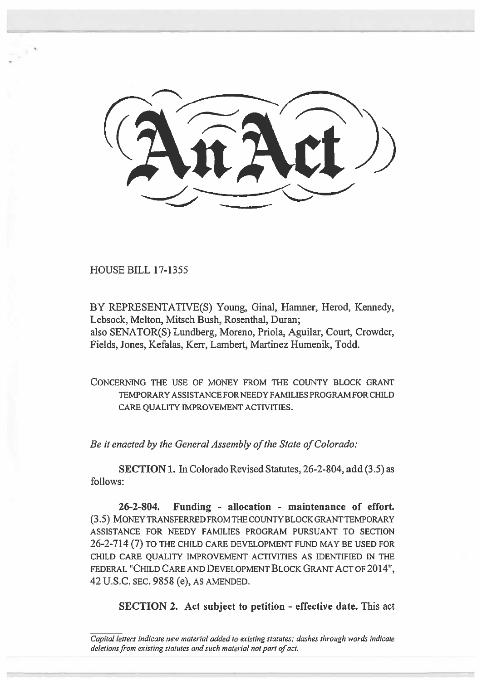HOUSE BILL 17-1355

BY REPRESENTATIVE(S) Young, Ginal, Hamner, Herod, Kennedy, Lebsock, Melton, Mitsch Bush, Rosenthal, Duran; also SENATOR(S) Lundberg, Moreno, Priola, Aguilar, Court, Crowder, Fields, Jones, Kefalas, Kerr, Lambert, Martinez Humenik, Todd.

CONCERNING THE USE OF MONEY FROM THE COUNTY BLOCK GRANT TEMPORARY ASSISTANCE FOR NEEDY FAMILIES PROGRAM FOR CHILD CARE QUALITY IMPROVEMENT ACTIVITIES.

*Be it enacted by the General Assembly of the State of Colorado:* 

SECTION **I. In** Colorado Revised Statutes, 26-2-804, **add** (3.5) as follows:

**26-2-804. Funding - allocation - maintenance of effort.**  (3.5) MONEY TRANSFERRED FROM THE COUNTY BLOCK GRANT TEMPORARY ASSISTANCE FOR NEEDY FAMILIES PROGRAM PURSUANT TO SECTION 26-2-714 (7) TO THE CHILD CARE DEVELOPMENT FUND MAY BE USED FOR CHILD CARE QUALITY IMPROVEMENT ACTIVITIES AS IDENTIFIED IN THE FEDERAL "CHILD CARE AND DEVELOPMENT **BLOCK** GRANT ACT OF 2014", 42 U.S.C. SEC. 9858 **(e),** AS AMENDED.

**SECTION 2. Act subject to petition - effective date.** This act

Capital letters indicate new material added to existing statutes; dashes through words indicate deletions from existing statutes and such **material not part of act.**